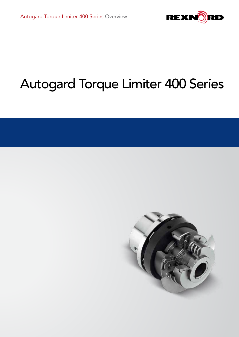

# Autogard Torque Limiter 400 Series

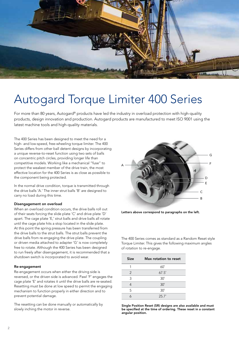

## Autogard Torque Limiter 400 Series

For more than 80 years, Autogard® products have led the industry in overload protection with high-quality products, design innovation and production. Autogard products are manufactured to meet ISO 9001 using the latest machine tools and high-quality materials.

The 400 Series has been designed to meet the need for a high- and low-speed, free-wheeling torque limiter. The 400 Series differs from other ball detent designs by incorporating a unique reverse-to-reset function using two sets of balls on concentric pitch circles, providing longer life than competitive models. Working like a mechanical "fuse" to protect the weakest member of the drive train, the most effective location for the 400 Series is as close as possible to the component being protected.

In the normal drive condition, torque is transmitted through the drive balls 'A.' The inner strut balls 'B' are designed to carry no load during this time.

#### Disengagement on overload

When an overload condition occurs, the drive balls roll out of their seats forcing the slide plate 'C' and drive plate 'D' apart. The cage plate 'E,' strut balls and drive balls all rotate until the cage plate hits a stop located in the slide plate. At this point the spring pressure has been transferred from the drive balls to the strut balls. The strut balls prevent the drive balls from re-engaging the drive plate. The coupling or driven media attached to adapter 'G' is now completely free to rotate. Although the 400 Series has been designed to run freely after disengagement, it is recommended that a shutdown switch is incorporated to avoid wear.

#### Re-engagement

Re-engagement occurs when either the driving side is reversed, or the driven side is advanced. Pawl 'F' engages the cage plate 'E' and rotates it until the drive balls are re-seated. Resetting must be done at low speed to permit the engaging mechanism to function properly in either direction and to prevent potential damage.

The resetting can be done manually or automatically by slowly inching the motor in reverse.



Letters above correspond to paragraphs on the left.

The 400 Series comes as standard as a Random Reset style Torque Limiter. This gives the following maximum angles of rotation to re-engage.

| <b>Size</b> | Max rotation to reset |
|-------------|-----------------------|
| 1           | $60^\circ$            |
| 2           | $67.5^\circ$          |
| 3           | $30^\circ$            |
|             | $30^\circ$            |
| 5           | $30^\circ$            |
| L           | $25.7^{\circ}$        |

Single Position Reset (SR) designs are also available and must be specified at the time of ordering. These reset in a constant angular position.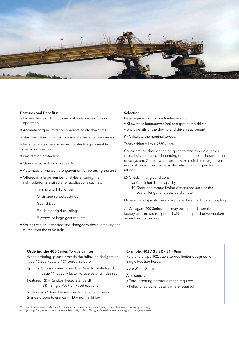

#### Features and Benefits:

- Proven design with thousands of units successfully in operation
- Accurate torque limitation prevents costly downtime
- Standard designs can accommodate large torque ranges
- Instantaneous disengagement protects equipment from damaging inertias
- Bi-direction protection
- Operates at high or low speeds
- Automatic or manual re-engagement by reversing the unit
- Offered in a large number of styles ensuring the right solution is available for applications such as:
	- Timing and HTD drives
	- Chain and sprocket drives
	- Gear drives
	- Flexible or rigid couplings
	- Flywheel or large gear mounts
- Springs can be inspected and changed without removing the clutch from the drive train

### Selection:

Data required for torque limiter selection:

- Kilowatt or horsepower (hp) and rpm of the driver
- Shaft details of the driving and driven equipment

(1) Calculate the nominal torque.

Torque (Nm) =  $Kw \times 9550 / rpm$ 

Consideration should then be given to start torque or other special circumstances depending on the position chosen in the drive system. Choose a set torque with a suitable margin over nominal. Select the torque limiter which has a higher torque rating.

- (2) Check limiting conditions:
	- (a) Check hub bore capacity
	- (b) Check the torque limiter dimensions such as the overall length and outside diameter
- (3) Select and specify the appropriate drive medium or coupling.

All Autogard 400 Series units may be supplied from the factory at a pre-set torque and with the required drive medium assembled to the unit.

### Ordering the 400 Series Torque Limiter

When ordering, please provide the following designation: Type / Size / Feature / S1 bore / S2 bore.

Springs: Choose spring assembly. Refer to Table 4 and 5 on page 14. Specify factor torque setting if desired.

Features: RR – Random Reset (standard)

SR – Single Position Reset (optional)

S1 Bore & S2 Bore: Please specify metric or imperial Standard bore tolerance =  $H8 +$  normal fit key

#### Example: 402 / 3 / SR / S1 40mm

Refers to a type 402, size 3 torque limiter designed for Single Position Reset.

Bore  $S1 = 40$  mm

Also specify:

- Torque setting or torque range required
- Pulley or sprocket details where required

The specifications contained within this brochure are correct at the time of going to print. Rexnord is continually reviewing<br>and updating the specifications on its entire Autogard product offering and therefore reserve th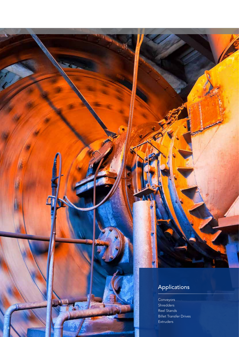### Applications

تحالية

Conveyors **Shredders** Reel Stands Billet Transfer Drives **Extruders** 

4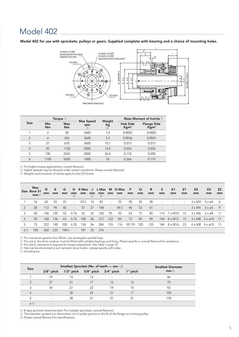### Model 402

Model 402 for use with sprockets, pulleys or gears. Supplied complete with bearing and a choice of mounting holes.



|                |                | Torque $\odot$          |                       |                         |                                     | Mass Moment of Inertia <sup>3</sup>       |
|----------------|----------------|-------------------------|-----------------------|-------------------------|-------------------------------------|-------------------------------------------|
| <b>Size</b>    | Min<br>Nm      | <b>Max</b><br><b>Nm</b> | Max Speed<br>rpm<br>➁ | Weight<br>Кg<br>$\odot$ | <b>Hub Side</b><br>Kgm <sup>2</sup> | <b>Flange Side</b><br>$K$ qm <sup>2</sup> |
| 1              | 3              | 28                      | 3600                  | 1.0                     | 0.0002                              | 0.0002                                    |
| 2              | $\overline{4}$ | 226                     | 3600                  | 5.2                     | 0.0036                              | 0.0041                                    |
| 3              | 27             | 678                     | 3600                  | 10.1                    | 0.013                               | 0.013                                     |
| $\overline{4}$ | 45             | 1130                    | 2000                  | 14.8                    | 0.024                               | 0.024                                     |
| 5              | 100            | 2542                    | 2000                  | 36.4                    | 0.118                               | 0.090                                     |
| 6              | 1100           | 5650                    | 1800                  | 55                      | 0.266                               | 0.170                                     |

 ${\mathbb D}$  For higher torque applications, consult Rexnord.

 $\mathfrak D$  Higher speeds may be allowed under certain conditions. Please consult Rexnord.

Weights and moments of inertia apply to max (S1) bores. 3

| Size           | Max<br>Bore S1<br>mm@ | D<br>mm | E.<br>mm | G<br>mm | mm                       | H KMax J<br>mm | mm<br>(3) | mm<br>᠗ |        | L Max M O Max P<br>mm mm | mm     | $\Omega$<br>mm | R<br>mm | S<br>mm | X <sub>1</sub><br>mm | Z1<br>mm | X <sub>2</sub><br>mm | X <sub>3</sub><br>mm                    | Z <sub>2</sub><br>mm |
|----------------|-----------------------|---------|----------|---------|--------------------------|----------------|-----------|---------|--------|--------------------------|--------|----------------|---------|---------|----------------------|----------|----------------------|-----------------------------------------|----------------------|
|                | 16                    | 62      | 55       | 25      | $\overline{\phantom{a}}$ | 33.5           | 14        | 83      | $\sim$ | -25                      | 30     | 35             | 38      |         |                      | $\sim$   |                      | $3 \times M3$ $3 \times \emptyset$ 4    | - 6                  |
| 2              | 28                    | 112     | 90       | 40      | $\overline{\phantom{a}}$ | 57             | 37        | 148     | $\sim$ | 44.5                     | 46     | 52             | 61      |         |                      | $\sim$   |                      | $3 \times M4$ $3 \times \emptyset5$     | - 9                  |
| 3              | 40                    | 146     | 120      | 55      | 4.76                     | 55             | 35        | 160     | 95     | 43                       | 63     | 75             | 80      | 114     | 7 x M10              | 15       |                      | $3 \times M6$ $3 \times \emptyset$      |                      |
| $\overline{4}$ | 50                    | 168     | 136      | 65      | 4.76                     | 100            | 36        | 212     | 122    | -84                      | 72     | 85             | 90      | 144     | 8 x M12              | - 15     |                      | $3 \times M8$ $3 \times \varnothing$ 10 | - 11                 |
| 5              | 75                    | 222     | 190      | 100     | 6.35                     | 134            | 56        | 284     | 155    | 116                      | 107.95 | 120            | 125     | 184     | 8 x M16              | - 23     | $4 \times M8$        | 4 × ø10 11                              |                      |
| 6 ③            | 100                   | 260     | 235      | 140 ©   |                          | 181            | 25        | 376     |        |                          |        |                |         |         |                      |          |                      |                                         |                      |

 ${\mathbb D}$  For max bores greater than 25mm, use rectangular parallel keys.

 $\mathcal D$  For size 6, the drive medium must be fitted with suitable bearings and fixing. Please specify or consult Rexnord for assistance.

 $\mathbb D$  For size 6, clearance is required for torque adjustment. See Table 1 page 12.

 $\mathfrak D$  Hub can be shortened to suit narrower drive media - please specify with order.

h6 tolerance. 5

|             |                          |    | Smallest Sprocket (No. of teeth — see $\odot$ ) |                          | <b>Smallest Diameter</b> |     |  |  |  |
|-------------|--------------------------|----|-------------------------------------------------|--------------------------|--------------------------|-----|--|--|--|
| <b>Size</b> | $3/8$ " pitch            |    | $1/2$ " pitch 5/8" pitch $3/4$ " pitch          |                          | 1" pitch                 | mm@ |  |  |  |
|             | 19                       | 15 | 13                                              | $\overline{\phantom{a}}$ |                          | 46  |  |  |  |
|             | 27                       | 21 | 17                                              | 15                       | 12                       | 70  |  |  |  |
|             | 34                       | 27 | 22                                              | 19                       | 15                       | 92  |  |  |  |
| 4           | $\overline{\phantom{a}}$ | 30 | 24                                              | 21                       | 17                       | 104 |  |  |  |
|             | $\overline{\phantom{a}}$ | 38 | 31                                              | 27                       |                          | 139 |  |  |  |
| 6 ③         |                          |    |                                                 |                          |                          |     |  |  |  |

 $\mathbb D$  B type sprocket recommended. For multiple sprockets, consult Rexnord.

 $\mathfrak D$  The diameter quoted is to the bottom of a V pulley groove or the ID of the flange on a timing pulley.

Please consult Rexnord for specifications. 3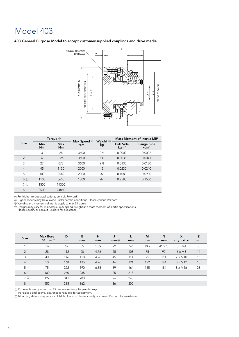### Model 403

403 General Purpose Model to accept customer-supplied couplings and drive media.



|                |                | Torque $\odot$   |                                 |                             |                                     | Mass Moment of Inertia MR <sup>2</sup> |
|----------------|----------------|------------------|---------------------------------|-----------------------------|-------------------------------------|----------------------------------------|
| <b>Size</b>    | Min<br>Nm      | Max<br><b>Nm</b> | Max Speed $\circledcirc$<br>rpm | Weight $\circledcirc$<br>kg | <b>Hub Side</b><br>kgm <sup>2</sup> | <b>Flange Side</b><br>kgm <sup>2</sup> |
| 1              | 3              | 28               | 3600                            | 0.9                         | 0.0002                              | 0.0002                                 |
| $\overline{2}$ | $\overline{4}$ | 226              | 3600                            | 5.0                         | 0.0035                              | 0.0041                                 |
| 3              | 27             | 678              | 3600                            | 9.8                         | 0.0130                              | 0.0130                                 |
| $\overline{4}$ | 45             | 1130             | 2000                            | 13                          | 0.0230                              | 0.0240                                 |
| 5              | 100            | 2542             | 2000                            | 32                          | 0.1080                              | 0.0900                                 |
| 6 4            | 1100           | 5650             | 1800                            | 47                          | 0.2580                              | 0.1500                                 |
| 7 ①            | 1500           | 11300            |                                 |                             |                                     |                                        |
| 8              | 3500           | 24860            |                                 |                             |                                     |                                        |

 $\mathfrak D$  For higher torque applications, consult Rexnord. 1

 Higher speeds may be allowed under certain conditions. Please consult Rexnord. 2

Weights and moments of inertia apply to max S1 bores. 3

Designs may vary for min torque, max speed, weight and mass moment of inertia specifications. Please specify or consult Rexnord for assistance. 4

| <b>Size</b>    | <b>Max Bore</b><br>S1 mm $\odot$ | D<br>mm | E<br>mm | H<br>mm | J<br>mm@ | mm  | M<br>mm | N<br>mm | $\boldsymbol{\mathsf{x}}$<br>qty x size | z<br>mm |
|----------------|----------------------------------|---------|---------|---------|----------|-----|---------|---------|-----------------------------------------|---------|
|                | 16                               | 62      | 55      | 1.59    | 22       | 59  | 30.2    | 41.275  | $5 \times M4$                           | 8       |
| $\overline{2}$ | 28                               | 112     | 90      | 4.76    | 45       | 108 | 75      | 92      | $6 \times M8$                           | 14      |
| 3              | 40                               | 146     | 120     | 4.76    | 45       | 114 | 95      | 114     | $7 \times M10$                          | 15      |
| $\overline{4}$ | 50                               | 168     | 136     | 4.76    | 46       | 121 | 122     | 144     | $8 \times M12$                          | 15      |
| $5^{\circ}$    | 75                               | 222     | 190     | 6.35    | 69       | 164 | 155     | 184     | $8 \times M16$                          | 23      |
| $6^\circ$      | 100                              | 260     | 235     |         | 25       | 218 |         |         |                                         |         |
| 7 <sup>o</sup> | 127                              | 311     | 283     |         | 26       | 245 |         |         |                                         |         |
| 8              | 152                              | 385     | 362     |         | 36       | 300 |         |         |                                         |         |

 $\odot$  For max bores greater than 25mm, use rectangular parallel keys. 1

 For sizes 6 and above, clearance is required for adjustment. 2

Mounting details may vary for H, M, N, X and Z. Please specify or consult Rexnord for assistance.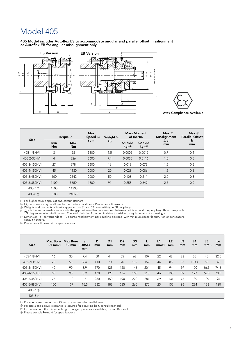### Model 405

405 Model includes Autoflex ES to accommodate angular and parallel offset misalignment or Autoflex EB for angular misalignment only.







Atex Compliance Available

| <b>Size</b>            |                  | Torque $\odot$ | <b>Max</b><br>Speed $\circledcirc$ | <b>Weight</b> © |                                         | <b>Mass Moment</b><br>of Inertia        | Max $\circledcirc$<br>Misalignment | Max<br><b>Parallel Offset</b> |
|------------------------|------------------|----------------|------------------------------------|-----------------|-----------------------------------------|-----------------------------------------|------------------------------------|-------------------------------|
|                        | Min<br><b>Nm</b> | Max<br>Nm      | rpm                                | kg              | S <sub>1</sub> side<br>kgm <sup>2</sup> | S <sub>2</sub> side<br>kgm <sup>2</sup> | $\triangle$ a<br>mm                | b<br>mm                       |
| 405-1/8HVII            | 3                | 28             | 3600                               | 1.5             | 0.0002                                  | 0.0012                                  | 0.7                                | 0.4                           |
| 405-2/35HVII           | $\overline{4}$   | 226            | 3600                               | 7.1             | 0.0035                                  | 0.0116                                  | 1.0                                | 0.5                           |
| 405-3/150HVII          | 27               | 678            | 3600                               | 16              | 0.013                                   | 0.073                                   | 1.5                                | 0.6                           |
| 405-4/150HVII          | 45               | 1130           | 2000                               | 20              | 0.023                                   | 0.086                                   | 1.5                                | 0.6                           |
| 405-5/480HVII          | 100              | 2542           | 2000                               | 50              | 0.108                                   | 0.211                                   | 2.0                                | 0.8                           |
| 405-6/880HVII          | 1100             | 5650           | 1800                               | 91              | 0.258                                   | 0.649                                   | 2.5                                | 0.9                           |
| 405-7 ⓒ                | 1500             | 11300          |                                    |                 |                                         |                                         |                                    |                               |
| $405-8$ $\circledcirc$ | 3500             | 24860          |                                    |                 |                                         |                                         |                                    |                               |

For higher torque applications, consult Rexnord.  $\odot$ 

Higher speeds may be allowed under certain conditions. Please consult Rexnord.<br>Weights and moments of inertia apply to max S1 and S2 bores with type EB couplings.<br>∆ a is the max allowable variation in the gap between flan  $\mathfrak{g}_\perp$   $\Delta$  a is the max allowable variation in the gap between flanges measured between points around the periphery. The total deviation from nominal due to axial and angular must not exceed  $\Delta$ 

Dimension "b" corresponds to 1/2 degree misalignment per coupling disc pack with minimum spacer length. For longer spacers, 5 consult Rexnord.

Please consult Rexnord for specifications. 6

| <b>Size</b>          | Max Bore<br>S1 mm $\odot$ | Max Bore<br>S <sub>2</sub> mm | a<br>(DBSE)<br>mm | D<br>mm | D <sub>1</sub><br>mm | D <sub>2</sub><br>mm | D <sub>3</sub><br>mm | L<br>mm | L1<br>mm@ | L <sub>2</sub><br>mm | L <sub>3</sub><br>mm | L4<br>mm | L <sub>5</sub><br>mm@ | L6<br>mm |
|----------------------|---------------------------|-------------------------------|-------------------|---------|----------------------|----------------------|----------------------|---------|-----------|----------------------|----------------------|----------|-----------------------|----------|
| 405-1/8HVII          | 16                        | 30                            | 7.4               | 80      | 44                   | 55                   | 62                   | 107     | 22        | 48                   | 23                   | 68       | 48                    | 32.5     |
| 405-2/35HVII         | 28                        | 50                            | 9.4               | 110     | 70                   | 90                   | 112                  | 169     | 44        | 88                   | 33                   | 123.4    | 58                    | 46       |
| 405-3/150HVII        | 40                        | 90                            | 8.9               | 170     | 123                  | 120                  | 146                  | 204     | 45        | 94                   | 59                   | 120      | 66.5                  | 74.6     |
| 405-4/150HVII        | 50                        | 90                            | 8.9               | 170     | 123                  | 136                  | 168                  | 210     | 46        | 100                  | 59                   | 127      | 66.5                  | 73.5     |
| 405-5/480HVII        | 75                        | 110                           | 15                | 230     | 150                  | 190                  | 222                  | 284     | 69        | 131                  | 75                   | 189      | 109                   | 95       |
| 405-6/880HVII        | 100                       | 137                           | 16.5              | 282     | 188                  | 235                  | 260                  | 370     | 25        | 156                  | 96                   | 234      | 128                   | 120      |
| 405-7 4              |                           |                               |                   |         |                      |                      |                      |         |           |                      |                      |          |                       |          |
| 405-8 <sup>(4)</sup> |                           |                               |                   |         |                      |                      |                      |         |           |                      |                      |          |                       |          |

For max bores greater than 25mm, use rectangular parallel keys.

 $\mathcal V\,$  For max bores greater than 25mm, use rectangular parallel keys.<br>� For size 6 and above, clearance is required for adjusting bolt, consult Rexnord. 2

 $^{\rm 3)}$  L5 dimension is the minimum length. Longer spacers are available, consult Rexnord.

 $9$  Please consult Rexnord for specifications.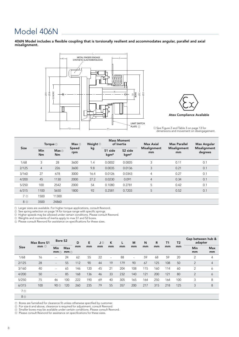### Model 406N

406N Model includes a flexible coupling that is torsionally resilient and accommodates angular, parallel and axial misalignment.





 $\mathbb D$  See Figure 2 and Table 3 on page 13 for dimensions and movement on disengagement.

| <b>Size</b> |       | Torque $\odot$   | Max@              | Weight $@$   |      | <b>Mass Moment</b><br>of Inertia | Max Axial                               | <b>Max Parallel</b>       | <b>Max Angular</b> |                         |
|-------------|-------|------------------|-------------------|--------------|------|----------------------------------|-----------------------------------------|---------------------------|--------------------|-------------------------|
|             |       | <b>Min</b><br>Nm | Max@<br><b>Nm</b> | Speed<br>rpm | kg   | S1 side<br>kgm <sup>2</sup>      | S <sub>2</sub> side<br>kgm <sup>2</sup> | <b>Misalignment</b><br>mm | Misalignment<br>mm | Misalignment<br>degrees |
|             | 1/68  | 3                | 28                | 3600         | 1.4  | 0.0002                           | 0.0005                                  | 3                         | 0.11               | 0.1                     |
|             | 2/125 | $\overline{4}$   | 226               | 3600         | 9.8  | 0.0035                           | 0.0136                                  | 3                         | 0.21               | 0.1                     |
|             | 3/160 | 27               | 678               | 3000         | 16.4 | 0.0126                           | 0.0343                                  | $\overline{4}$            | 0.27               | 0.1                     |
|             | 4/200 | 45               | 1130              | 2000         | 27.2 | 0.0230                           | 0.091                                   | $\overline{4}$            | 0.34               | 0.1                     |
|             | 5/250 | 100              | 2542              | 2000         | 54   | 0.1080                           | 0.2781                                  | 5                         | 0.42               | 0.1                     |
|             | 6/315 | 1100             | 5650              | 1800         | 92   | 0.2581                           | 0.7203                                  | 5                         | 0.52               | 0.1                     |
|             | 7 G   | 1500             | 11300             |              |      |                                  |                                         |                           |                    |                         |
|             | - -   | $\cdots$         | -----             |              |      |                                  |                                         |                           |                    |                         |

8 3500 24860  $8^\circledR$ 

Larger sizes are available. For higher torque applications, consult Rexnord. 1

See spring selection on page 14 for torque range with specific springs.

Higher speeds may be allowed under certain conditions. Please consult Rexnord.

<sub>3</sub>) Higher speeds may be allowed under certain conditions. Please<br>9) Weights and moments of inertia apply to max S1 and S2 bores. 4

Please consult Rexnord for assistance on specifications for these sizes. 5

|                | Max Bore S1<br>$mm \odot$ | Bore S <sub>2</sub>      |                            | D   | E   | J ② | K  | L   | M   | N   | R   | <b>T1</b> | T <sub>2</sub> | Gap between hub &<br>adapter |                  |
|----------------|---------------------------|--------------------------|----------------------------|-----|-----|-----|----|-----|-----|-----|-----|-----------|----------------|------------------------------|------------------|
| <b>Size</b>    |                           | Min<br>$mm$ $\odot$      | <b>Max</b><br>$mm$ $\odot$ | mm  | mm  | mm  | mm | mm  | mm  | mm  | mm  | mm        | mm             | Min<br>mm                    | <b>Max</b><br>mm |
| 1/68           | 16                        | $\sim$                   | 24                         | 62  | 55  | 22  | ٠  | 88  | ٠   | 59  | 68  | 59        | 20             | 2                            | 4                |
| 2/125          | 28                        | $\overline{\phantom{a}}$ | 55                         | 112 | 90  | 44  | 19 | 179 | 90  | 67  | 125 | 108       | 50             | 2                            | $\overline{4}$   |
| 3/160          | 40                        | $\sim$                   | 65                         | 146 | 120 | 45  | 21 | 204 | 108 | 115 | 160 | 114       | 60             | 2                            | 6                |
| 4/200          | 50                        | $\overline{\phantom{a}}$ | 85                         | 168 | 136 | 46  | 33 | 232 | 140 | 121 | 200 | 121       | 80             | 2                            | 6                |
| 5/250          | 75                        | 46                       | 100                        | 222 | 190 | 69  | 40 | 305 | 165 | 164 | 250 | 164       | 100            | 3                            | 8                |
| 6/315          | 100                       | 90                       | 120                        | 260 | 235 | 79  | 55 | 357 | 200 | 217 | 315 | 218       | 125            | 3                            | 8                |
| 7 <sup>a</sup> |                           |                          |                            |     |     |     |    |     |     |     |     |           |                |                              |                  |

8 4

 $D$  Bores are furnished for clearance fit unless otherwise specified by customer.

For size 6 and above, clearance is required for adjustment, consult Rexnord. Smaller bores may be available under certain conditions. Please consult Rexnord. 2 3

 $\mathfrak D$  Please consult Rexnord for assistance on specifications for these sizes.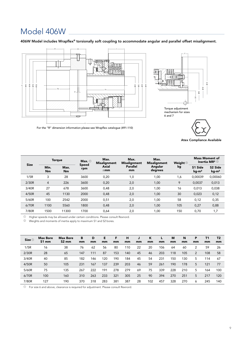### Model 406W

406W Model includes Wrapflex® torsionally soft coupling to accommodate angular and parallel offset misalignment.



For the "R" dimension information please see Wrapflex catalogue (491-110)

Atex Compliance Available

S1 Ø E Ø D  $_{\odot}^{\pm}$ 

| <b>Size</b> |                   | <b>Torque</b>     | Max. $\odot$        | Max.<br><b>Misalignment</b> | Max.<br><b>Misalignment</b> | Max.<br><b>Misalignment</b> | Weight $@$ | <b>Mass Moment of</b> | Inertia MR <sup>2</sup> $^\circledR$ |
|-------------|-------------------|-------------------|---------------------|-----------------------------|-----------------------------|-----------------------------|------------|-----------------------|--------------------------------------|
|             | Min.<br><b>Nm</b> | Max.<br><b>Nm</b> | <b>Speed</b><br>rpm | <b>Axial</b><br>$\pm$ mm    | <b>Parallel</b><br>mm       | Angular<br>degrees          | kg         | S1 Side<br>$kq-m^2$   | S <sub>2</sub> Side<br>$kg-m2$       |
| 1/5R        | 3                 | 28                | 3600                | 0,20                        | 1,0                         | 1,00                        | 1,6        | 0.00039               | 0,00060                              |
| 2/30R       | $\overline{4}$    | 226               | 3600                | 0,20                        | 2,0                         | 1,00                        | 9          | 0.0037                | 0,013                                |
| 3/40R       | 27                | 678               | 3600                | 0,48                        | 2,0                         | 1,00                        | 16         | 0.013                 | 0,038                                |
| 4/50R       | 45                | 1130              | 2000                | 0,48                        | 2,0                         | 1,00                        | 30         | 0,023                 | 0,12                                 |
| 5/60R       | 100               | 2542              | 2000                | 0,51                        | 2,0                         | 1,00                        | 58         | 0,12                  | 0,35                                 |
| 6/70R       | 1100              | 5560              | 1800                | 0,48                        | 2,0                         | 1,00                        | 105        | 0,27                  | 0,88                                 |
| 7/80R       | 1500              | 11300             | 1700                | 0,64                        | 2,0                         | 1,00                        | 150        | 0,70                  | 1,7                                  |

 $0$  Higher speeds may be allowed under certain conditions. Please consult Rexnord.

<sup>2</sup> Weights and moments of inertia apply to maximum S1 and S2 bores.

| Size $0$ | <b>Max Bore</b><br>S1 mm | <b>Max Bore</b><br>S <sub>2</sub> mm | в<br>mm | D<br>mm | Е<br>mm | F<br>mm | н<br>mm | mm | К<br>mm | mm  | M<br>mm | N<br>mm | P<br>mm | T1<br>mm | T <sub>2</sub><br>mm |
|----------|--------------------------|--------------------------------------|---------|---------|---------|---------|---------|----|---------|-----|---------|---------|---------|----------|----------------------|
| 1/5R     | 16                       | 38                                   | 76      | 62      | 56      | 80      | 110     | 22 | 20      | 106 | 64      | 60      | 2       | 59       | 26                   |
| 2/30R    | 28                       | 65                                   | 147     | 111     | 87      | 153     | 140     | 45 | 46      | 203 | 118     | 105     | 2       | 108      | 58                   |
| 3/40R    | 40                       | 85                                   | 182     | 146     | 120     | 190     | 184     | 45 | 54      | 231 | 150     | 30      | 5       | 114      | 67                   |
| 4/50R    | 50                       | 105                                  | 231     | 167     | 137     | 239     | 203     | 46 | 59      | 261 | 190     | 178     | 5       | 121      | 77                   |
| 5/60R    | 75                       | 135                                  | 267     | 222     | 191     | 278     | 279     | 69 | 75      | 339 | 228     | 210     | 5       | 164      | 100                  |
| 6/70R    | 100                      | 160                                  | 310     | 263     | 233     | 321     | 305     | 25 | 90      | 394 | 270     | 251     | 5       | 217      | 120                  |
| 7/80R    | 127                      | 190                                  | 370     | 318     | 283     | 381     | 387     | 28 | 102     | 457 | 328     | 270     | 6       | 245      | 140                  |

 $\overline{10}$  For size 6 and above, clearance is required for adjustment. Please consult Rexnord.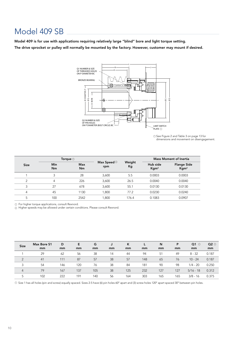### Model 409 SB

Model 409 is for use with applications requiring relatively large "blind" bore and light torque setting. The drive sprocket or pulley will normally be mounted by the factory. However, customer may mount if desired.



See Figure 2 and Table 3 on page 13 for dimensions and movement on disengagement. 1

| Ø (DIAMTER) P<br>$\circ$<br>S1BORE<br>$\circ$<br>ÓΕ.<br>Q2 NUMBER & SIZE<br>OF PIN HOLES<br>ON P DIAMETER (BOLT CIRCLE) BC<br><b>LIMIT SWITCH</b><br>$PLATE$ $\odot$<br>13 See Figure 2 and Table 3 on page 13<br>dimensions and movement on diseng |                                                                                                 |                        |      |                                 |          |              |                              |                               |                                        |              |  |
|-----------------------------------------------------------------------------------------------------------------------------------------------------------------------------------------------------------------------------------------------------|-------------------------------------------------------------------------------------------------|------------------------|------|---------------------------------|----------|--------------|------------------------------|-------------------------------|----------------------------------------|--------------|--|
|                                                                                                                                                                                                                                                     |                                                                                                 | Torque <sup>1</sup>    |      |                                 |          |              |                              | <b>Mass Moment of Inertia</b> |                                        |              |  |
| <b>Size</b>                                                                                                                                                                                                                                         |                                                                                                 | Min<br>Max<br>Nm<br>Nm |      | Max Speed $\circledcirc$<br>rpm |          | Weight<br>Kg | Hub side<br>Kgm <sup>2</sup> |                               | <b>Flange Side</b><br>Kgm <sup>2</sup> |              |  |
| $\mathbf{1}$                                                                                                                                                                                                                                        | 3                                                                                               |                        | 28   | 3,600                           |          | 5.5          |                              | 0.0003                        | 0.0003                                 |              |  |
| 2                                                                                                                                                                                                                                                   | 4                                                                                               |                        | 226  | 3,600                           |          | 26.5         |                              | 0.0040                        |                                        | 0.0040       |  |
| 3                                                                                                                                                                                                                                                   | 27                                                                                              |                        | 678  | 3,600                           |          | 55.1         |                              | 0.0130                        | 0.0130                                 |              |  |
| 4                                                                                                                                                                                                                                                   | 45                                                                                              |                        | 1130 | 1,800                           |          | 77.2         |                              | 0.0230<br>0.0240              |                                        |              |  |
| 5                                                                                                                                                                                                                                                   | 100                                                                                             |                        | 2542 | 1,800                           |          | 176.4        |                              | 0.1083                        |                                        | 0.0907       |  |
| <b>Size</b>                                                                                                                                                                                                                                         | 2 Higher speeds may be allowed under certain conditions. Please consult Rexnord.<br>Max Bore S1 | D                      | E    | G                               | J        | K            | L                            | N                             | P                                      | $Q1$ $\odot$ |  |
|                                                                                                                                                                                                                                                     | mm                                                                                              | mm                     | mm   | mm                              | mm       | mm           | mm                           | mm                            | mm                                     | mm           |  |
| 1                                                                                                                                                                                                                                                   | 29                                                                                              | 62                     | 56   | 38                              | 14       | 44           | 94                           | 51                            | 49                                     | $8 - 32$     |  |
| $\overline{2}$                                                                                                                                                                                                                                      | 41                                                                                              | 111                    | 87   | 57                              | 38       | 57           | 148                          | 65                            | 76                                     | $10 - 24$    |  |
| 3                                                                                                                                                                                                                                                   | 54                                                                                              | 146                    | 120  | 76                              | 38       | 84           | 181                          | 90                            | 98                                     | $1/4 - 20$   |  |
| 4                                                                                                                                                                                                                                                   | 79                                                                                              | 167                    | 137  | 105                             | 38<br>56 | 125<br>164   | 232<br>303                   | 127                           | 127<br>165                             | $5/16 - 18$  |  |
| 5                                                                                                                                                                                                                                                   | 102                                                                                             | 222                    | 191  | 140                             |          |              |                              | 165                           |                                        | $3/8 - 16$   |  |

| <b>Size</b>    | Max Bore S1 | D   | E   | G   |    | K   |     | N   | P   | $Q1$ $\odot$ | $Q2$ $\odot$ |
|----------------|-------------|-----|-----|-----|----|-----|-----|-----|-----|--------------|--------------|
|                | mm          | mm  | mm  | mm  | mm | mm  | mm  | mm  | mm  | mm           | mm           |
|                | 29          | 62  | 56  | 38  | 14 | 44  | 94  | 51  | 49  | $8 - 32$     | 0.187        |
| $\mathfrak{D}$ | 41          | 111 | 87  | 57  | 38 | 57  | 148 | 65  | 76  | $10 - 24$    | 0.187        |
| 3              | 54          | 146 | 120 | 76  | 38 | 84  | 181 | 90  | 98  | $1/4 - 20$   | 0.250        |
| $\overline{4}$ | 79          | 167 | 137 | 105 | 38 | 125 | 232 | 127 | 127 | $5/16 - 18$  | 0.312        |
|                | 102         | 222 | 191 | 140 | 56 | 164 | 303 | 165 | 165 | $3/8 - 16$   | 0.375        |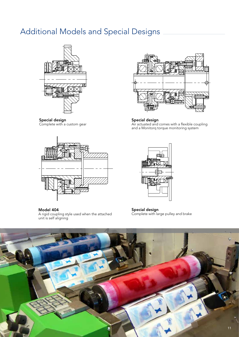### Additional Models and Special Designs



Special design Complete with a custom gear



Model 404 A rigid coupling style used when the attached unit is self aligning



Special design Air actuated and comes with a flexible coupling and a Monitorq torque monitoring system



Special design Complete with large pulley and brake

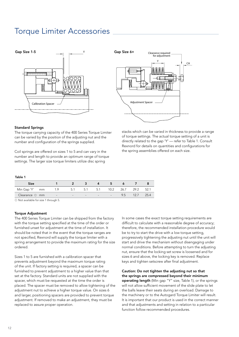### Torque Limiter Accessories





Standard Springs

The torque carrying capacity of the 400 Series Torque Limiter can be varied by the position of the adjusting nut and the number and configuration of the springs supplied.

Coil springs are offered on sizes 1 to 5 and can vary in the number and length to provide an optimum range of torque settings. The larger size torque limiters utilize disc spring

stacks which can be varied in thickness to provide a range of torque settings. The actual torque setting of a unit is directly related to the gap 'Y' — refer to Table 1. Consult Rexnord for details on quantities and configurations for the spring assemblies offered on each size.

#### Table 1

| Size                 |                   |     |               |                                     | -5   |      |      |      |
|----------------------|-------------------|-----|---------------|-------------------------------------|------|------|------|------|
| Min Gap 'Y' mm       | 1.9               | 5.1 | 5.1 5.1       |                                     | 10.2 | 26.7 | 29.2 | 52.1 |
| Clearance $\odot$ mm | <b>Contractor</b> |     | $\sim$ $\sim$ | and the contract of the contract of |      | 9.5  | 12.7 | 254  |
|                      |                   |     |               |                                     |      |      |      |      |

<sup>1</sup> Not available for size 1 through 5.

#### **Torque Adiustment**

The 400 Series Torque Limiter can be shipped from the factory with the torque setting specified at the time of the order or furnished unset for adjustment at the time of installation. It should be noted that in the event that the torque ranges are not specified, Rexnord will supply the torque limiter with a spring arrangement to provide the maximum rating for the size ordered.

Sizes 1 to 5 are furnished with a calibration spacer that prevents adjustment beyond the maximum torque rating of the unit. If factory setting is required, a spacer can be furnished to prevent adjustment to a higher value than that set at the factory. Standard units are not supplied with the spacer, which must be requested at the time the order is placed. The spacer must be removed to allow tightening of the adjustment nut to achieve a higher torque value. On sizes 6 and larger, positioning spacers are provided to prevent torque adjustment. If removed to make an adjustment, they must be replaced to assure proper operation.

In some cases the exact torque setting requirements are difficult to calculate with a reasonable degree of accuracy; therefore, the recommended installation procedure would be to try to start the drive with a low torque setting, progressively tightening the adjusting nut until the unit will start and drive the mechanism without disengaging under normal conditions. Before attempting to turn the adjusting nut, ensure that the locking set screw is loosened and for sizes 6 and above, the locking key is removed. Replace keys and tighten setscrew after final adjustment.

### Caution: Do not tighten the adjusting nut so that the springs are compressed beyond their minimum

operating length (Min gap "Y" size, Table 1), or the springs will not allow sufficient movement of the slide plate to let the balls leave their seats during an overload. Damage to the machinery or to the Autogard Torque Limiter will result. It is important that our product is used in the correct manner and that adjustments and setting in relation to a particular function follow recommended procedures.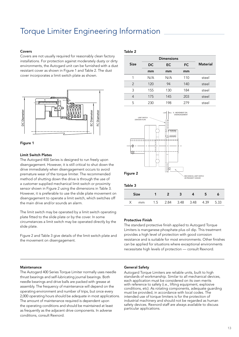### Torque Limiter Engineering Information

### Covers

Covers are not usually required for reasonably clean factory installations. For protection against moderately dusty or dirty environments, the Autogard unit can be furnished with a dust resistant cover as shown in Figure 1 and Table 2. The dust cover incorporates a limit switch plate as shown.





### Limit Switch Plates

The Autogard 400 Series is designed to run freely upon disengagement. However, it is still critical to shut down the drive immediately when disengagement occurs to avoid premature wear of the torque limiter. The recommended method of shutting down the drive is through the use of a customer supplied mechanical limit switch or proximity sensor shown in Figure 2 using the dimensions in Table 3. However, it is preferable to use the slide plate movement on disengagement to operate a limit switch, which switches off the main drive and/or sounds an alarm.

The limit switch may be operated by a limit switch operating plate fitted to the slide plate or by the cover. In some circumstances a limit switch may be operated directly by the slide plate.

Figure 2 and Table 3 give details of the limit switch plate and the movement on disengagement.

### Table 2

|               | <b>Dimensions</b> |           |     |                 |
|---------------|-------------------|-----------|-----|-----------------|
| <b>Size</b>   | <b>DC</b>         | <b>EC</b> | FC. | <b>Material</b> |
|               | mm                | mm        | mm  |                 |
| 1             | N/A               | N/A       | 110 | steel           |
| $\mathcal{P}$ | 120               | 94        | 140 | steel           |
| 3             | 155               | 130       | 184 | steel           |
| 4             | 175               | 145       | 203 | steel           |
| 5             | 230               | 198       | 279 | steel           |



### Protective Finish

The standard protective finish applied to Autogard Torque Limiters is manganese phosphate plus oil dip. This treatment provides a high level of protection with good corrosion resistance and is suitable for most environments. Other finishes can be applied for situations where exceptional environments necessitate high levels of protection — consult Rexnord.

#### Maintenance

The Autogard 400 Series Torque Limiter normally uses needle thrust bearings and self-lubricating journal bearings. Both needle bearings and drive balls are packed with grease at assembly. The frequency of maintenance will depend on the operating environment and number of trips, but once every 2,000 operating hours should be adequate in most applications. The amount of maintenance required is dependent upon the operating conditions and should be maintained at least as frequently as the adjacent drive components. In adverse conditions, consult Rexnord.

#### General Safety

Autogard Torque Limiters are reliable units, built to high standards of workmanship. Similar to all mechanical devices, each application must be considered on its own merits with reference to safety (i.e., lifting equipment, explosive conditions, etc). As rotating components, adequate guarding must be provided, in accordance with local codes. The intended use of torque limiters is for the protection of industrial machinery and should not be regarded as human safety devices. Rexnord staff are always available to discuss particular applications.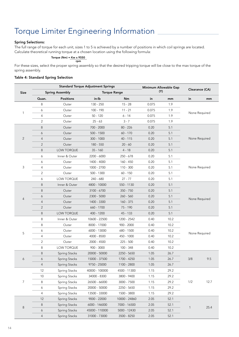### Torque Limiter Engineering Information

### Spring Selections:

The full range of torque for each unit, sizes 1 to 5 is achieved by a number of positions in which coil springs are located. Calculate theoretical running torque at a chosen location using the following formula:

Torque (Nm) =  $Kw \times 9550$ 

For these sizes, select the proper spring assembly so that the desired tripping torque will be close to the max torque of the spring assembly. rpm

### Table 4: Standard Spring Selection

|                |                |                        | <b>Standard Torque Adjustment Springs</b> | Minimum Allowable Gap |        |      |                |      |  |  |
|----------------|----------------|------------------------|-------------------------------------------|-----------------------|--------|------|----------------|------|--|--|
| <b>Size</b>    |                | <b>Spring Assembly</b> | <b>Torque Range</b>                       |                       | (Y)    |      | Clearance (CA) |      |  |  |
|                | Quan.          | <b>Positions</b>       | in-lb                                     | Nm                    | in     | mm   | in             | mm   |  |  |
|                | 8              | Outer                  | 130 - 250                                 | $15 - 28$             | 0.075  | 1.9  |                |      |  |  |
|                | 6              | Outer                  | 100 - 190                                 | $11 - 21$             | 0.075  | 1.9  | None Required  |      |  |  |
| 1              | 4              | Outer                  | $50 - 120$                                | $6 - 14$              | 0.075  | 1.9  |                |      |  |  |
|                | 2              | Outer                  | $25 - 63$                                 | $3 - 7$               | 0.075  | 1.9  |                |      |  |  |
|                | 8              | Outer                  | 700 - 2000                                | $80 - 226$            | 0.20   | 5.1  |                |      |  |  |
|                | 6              | Outer                  | $500 - 1500$                              | $60 - 170$            | 0.20   | 5.1  | None Required  |      |  |  |
| 2              | 4              | Outer                  | $300 - 1000$                              | 40 - 115              | 0.20   | 5.1  |                |      |  |  |
|                | $\overline{2}$ | Outer                  | 180 - 550                                 | $20 - 60$             | 0.20   | 5.1  |                |      |  |  |
|                | 8              | LOW TORQUE             | $35 - 160$                                | $4 - 18$              | 0.20   | 5.1  |                |      |  |  |
|                | 6              | Inner & Outer          | 2200 - 6000                               | $250 - 678$           | 0.20   | 5.1  |                |      |  |  |
|                | 6              | Outer                  | 1400 - 4000                               | $160 - 450$           | 0.20   | 5.1  |                |      |  |  |
| 3              | 4              | Outer                  | 1000 - 2700                               | $110 - 300$           | 0.20   | 5.1  | None Required  |      |  |  |
|                | $\overline{2}$ | Outer                  | 500 - 1300                                | $60 - 150$            | 0.20   | 5.1  |                |      |  |  |
|                | 6              | LOW TORQUE             | 240 - 680                                 | $27 - 77$             | 0.20   | 5.1  |                |      |  |  |
|                | 8              | Inner & Outer          | 4800 - 10000                              | 550 - 1130            | 0.20   | 5.1  |                |      |  |  |
| $\overline{4}$ | 8              | Outer                  | 3100 - 6700                               | $350 - 750$           | 0.20   | 5.1  |                |      |  |  |
|                | 6              | Outer                  | 2300 - 5000                               | $260 - 560$           | 0.20   | 5.1  | None Required  |      |  |  |
|                | $\overline{4}$ | Outer                  | 1400 - 3300                               | $160 - 375$           | 0.20   | 5.1  |                |      |  |  |
|                | $\overline{2}$ | Outer                  | 660 - 1700                                | 75 - 190              | 0.20   | 5.1  |                |      |  |  |
|                | 8              | <b>LOW TORQUE</b>      | 400 - 1200                                | 45 - 133              | 0.20   | 5.1  |                |      |  |  |
|                | 8              | Inner & Outer          | 10600 - 22500                             | 1200 - 2542           | 0.40   | 10.2 |                |      |  |  |
|                | 8              | Outer                  | 8000 - 17000                              | $900 - 2000$          | 0.40   | 10.2 |                |      |  |  |
| 5              | 6              | Outer                  | 6000 - 13000                              | 680 - 1500            | 0.40   | 10.2 |                |      |  |  |
|                | 4              | Outer                  | 4000 - 8500                               | 450 - 1000            | 0.40   | 10.2 | None Required  |      |  |  |
|                | 2              | Outer                  | 2000 - 4500                               | $225 - 500$           | 0.40   | 10.2 |                |      |  |  |
|                | 8              | <b>LOW TORQUE</b>      | $900 - 3000$                              | 100 - 348             | 0.40   | 10.2 |                |      |  |  |
|                | 8              | Spring Stacks          | 20000 - 50000                             | 2250 - 5650           | 1.05   | 26.7 |                |      |  |  |
| 6              | 6              | <b>Spring Stacks</b>   | 15000 - 37500                             | 1700 - 4250           | 1.05   | 26.7 | 3/8            | 9.5  |  |  |
|                | 4              | Spring Stacks          | 9750 - 25000                              | 1100 - 2800           | $1.05$ | 26.7 |                |      |  |  |
|                | 12             | Spring Stacks          | 40000 - 100000                            | 4500 - 11300          | 1.15   | 29.2 |                |      |  |  |
|                | 10             | Spring Stacks          | 34000 - 8300                              | 3800 - 9400           | 1.15   | 29.2 |                |      |  |  |
| 7              | 8              | Spring Stacks          | 26500 - 66000                             | 3000 - 7500           | 1.15   | 29.2 | 1/2            | 12.7 |  |  |
|                | 6              | Spring Stacks          | 20000 - 50000                             | 2250 - 5650           | 1.15   | 29.2 |                |      |  |  |
|                | 4              | Spring Stacks          | 13500 - 33000                             | 1500 - 3800           | 1.15   | 29.2 |                |      |  |  |
|                | 12             | Spring Stacks          | 9000 - 22000                              | 10000 - 24860         | 2.05   | 52.1 |                |      |  |  |
|                | 8              | Spring Stacks          | 6000 - 146000                             | 7000 - 16500          | 2.05   | 52.1 |                |      |  |  |
| $\,8\,$        | 6              | Spring Stacks          | 45000 - 110000                            | 5000 - 12430          | 2.05   | 52.1 | 1              | 25.4 |  |  |
|                | $\overline{4}$ | Spring Stacks          | 31000 - 73000                             | 3500 - 8250           | $2.05$ | 52.1 |                |      |  |  |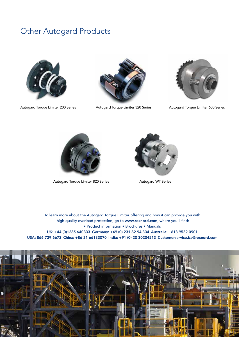### Other Autogard Products







Autogard Torque Limiter 200 Series **Autogard Torque Limiter 320 Series** Autogard Torque Limiter 600 Series



Autogard Torque Limiter 820 Series **Autogard WT Series** Autogard WT Series



To learn more about the Autogard Torque Limiter offering and how it can provide you with high-quality overload protection, go to www.rexnord.com, where you'll find: • Product information • Brochures • Manuals UK: +44 (0)1285 640333 Germany: +49 (0) 231 82 94 334 Australia: +613 9532 0901 USA: 866-739-6673 China: +86 21 66183070 India: +91 (0) 20 30204513 Customerservice.ba@rexnord.com